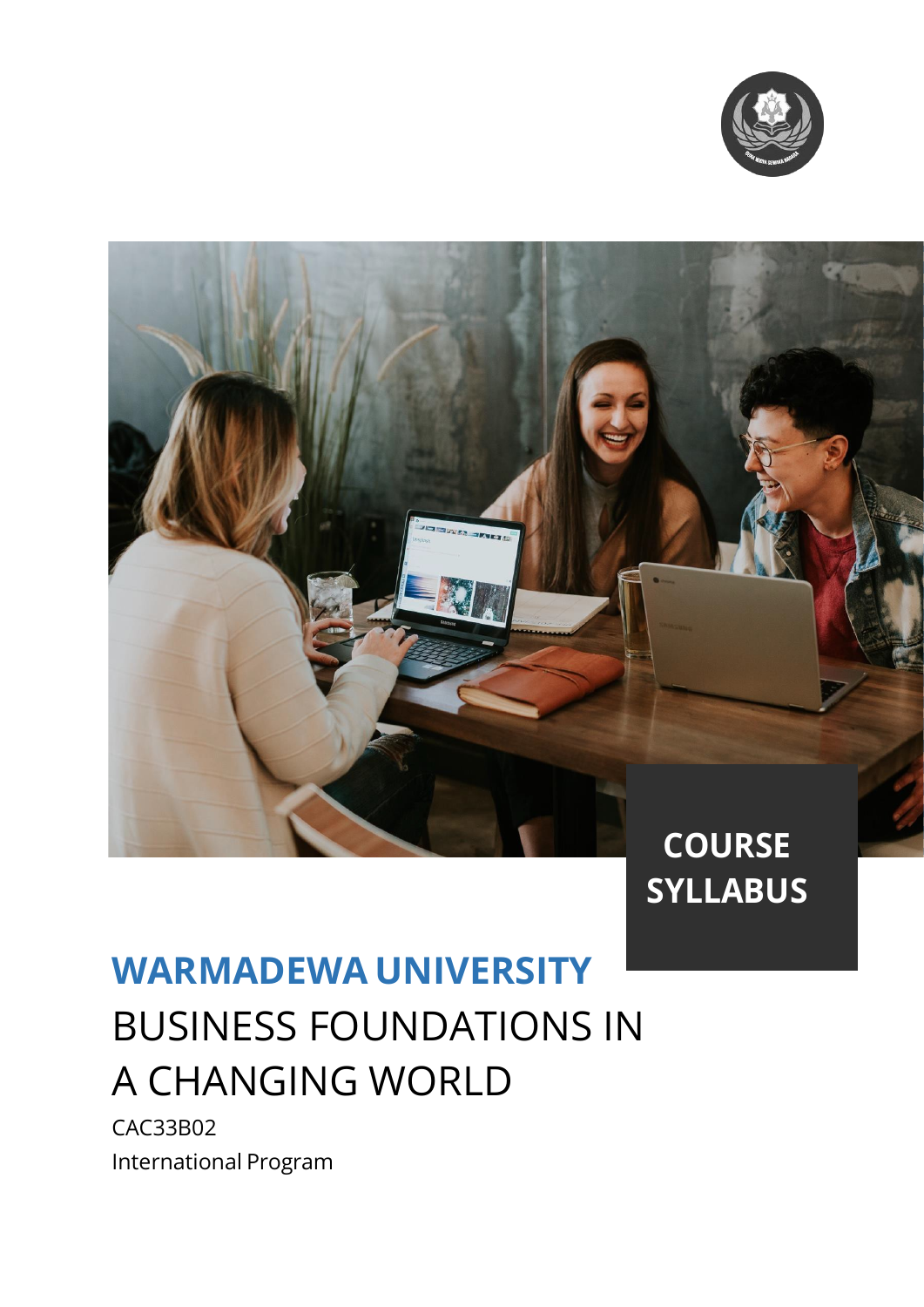



# **SYLLABUS**

## **WARMADEWA UNIVERSITY** BUSINESS FOUNDATIONS IN A CHANGING WORLD

CAC33B02 International Program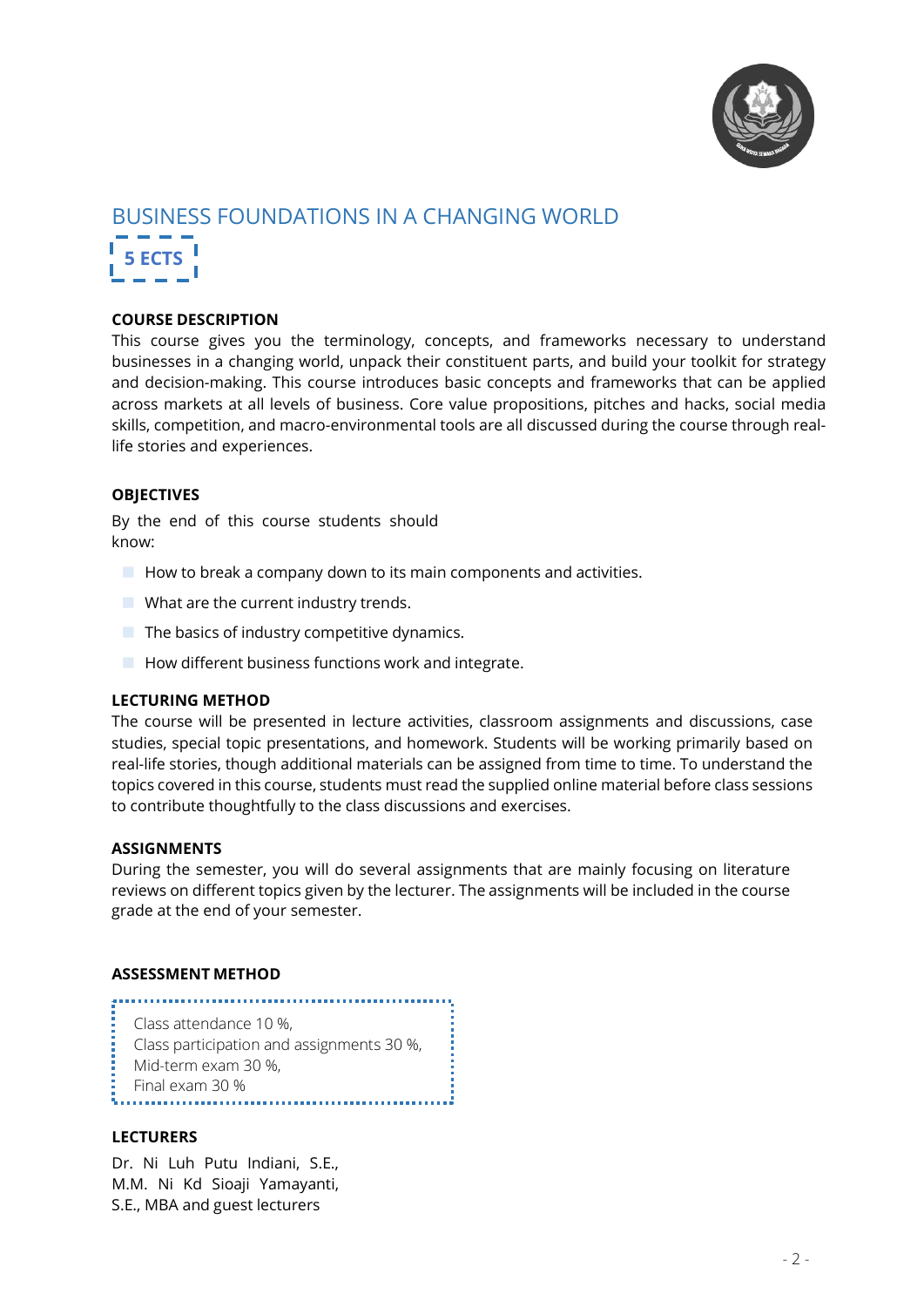

### BUSINESS FOUNDATIONS IN A CHANGING WORLD **5 ECTS**

#### **COURSE DESCRIPTION**

This course gives you the terminology, concepts, and frameworks necessary to understand businesses in a changing world, unpack their constituent parts, and build your toolkit for strategy and decision-making. This course introduces basic concepts and frameworks that can be applied across markets at all levels of business. Core value propositions, pitches and hacks, social media skills, competition, and macro-environmental tools are all discussed during the course through reallife stories and experiences.

#### **OBJECTIVES**

By the end of this course students should know:

- $\blacksquare$  How to break a company down to its main components and activities.
- **No What are the current industry trends.**
- $\blacksquare$  The basics of industry competitive dynamics.
- $\blacksquare$  How different business functions work and integrate.

#### **LECTURING METHOD**

The course will be presented in lecture activities, classroom assignments and discussions, case studies, special topic presentations, and homework. Students will be working primarily based on real-life stories, though additional materials can be assigned from time to time. To understand the topics covered in this course, students must read the supplied online material before class sessions to contribute thoughtfully to the class discussions and exercises.

#### **ASSIGNMENTS**

During the semester, you will do several assignments that are mainly focusing on literature reviews on different topics given by the lecturer. The assignments will be included in the course grade at the end of your semester.

#### **ASSESSMENT METHOD**

- Class attendance 10 %,
- Class participation and assignments 30 %,

- Mid-term exam 30 %,
- 

Final exam 30 %

#### **LECTURERS**

Dr. Ni Luh Putu Indiani, S.E., M.M. Ni Kd Sioaji Yamayanti, S.E., MBA and guest lecturers